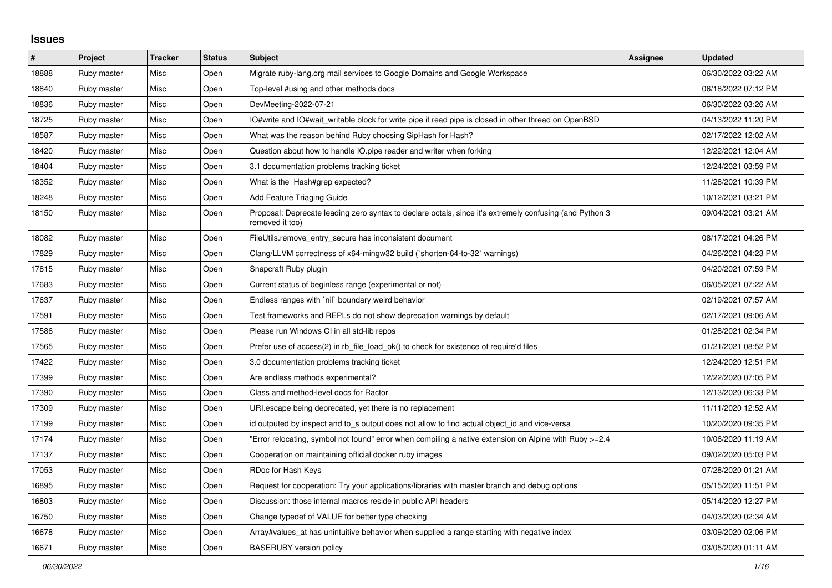## **Issues**

| #     | Project     | <b>Tracker</b> | <b>Status</b> | <b>Subject</b>                                                                                                             | Assignee | <b>Updated</b>      |
|-------|-------------|----------------|---------------|----------------------------------------------------------------------------------------------------------------------------|----------|---------------------|
| 18888 | Ruby master | Misc           | Open          | Migrate ruby-lang.org mail services to Google Domains and Google Workspace                                                 |          | 06/30/2022 03:22 AM |
| 18840 | Ruby master | Misc           | Open          | Top-level #using and other methods docs                                                                                    |          | 06/18/2022 07:12 PM |
| 18836 | Ruby master | Misc           | Open          | DevMeeting-2022-07-21                                                                                                      |          | 06/30/2022 03:26 AM |
| 18725 | Ruby master | Misc           | Open          | IO#write and IO#wait_writable block for write pipe if read pipe is closed in other thread on OpenBSD                       |          | 04/13/2022 11:20 PM |
| 18587 | Ruby master | Misc           | Open          | What was the reason behind Ruby choosing SipHash for Hash?                                                                 |          | 02/17/2022 12:02 AM |
| 18420 | Ruby master | Misc           | Open          | Question about how to handle IO.pipe reader and writer when forking                                                        |          | 12/22/2021 12:04 AM |
| 18404 | Ruby master | Misc           | Open          | 3.1 documentation problems tracking ticket                                                                                 |          | 12/24/2021 03:59 PM |
| 18352 | Ruby master | Misc           | Open          | What is the Hash#grep expected?                                                                                            |          | 11/28/2021 10:39 PM |
| 18248 | Ruby master | Misc           | Open          | Add Feature Triaging Guide                                                                                                 |          | 10/12/2021 03:21 PM |
| 18150 | Ruby master | Misc           | Open          | Proposal: Deprecate leading zero syntax to declare octals, since it's extremely confusing (and Python 3<br>removed it too) |          | 09/04/2021 03:21 AM |
| 18082 | Ruby master | Misc           | Open          | FileUtils.remove_entry_secure has inconsistent document                                                                    |          | 08/17/2021 04:26 PM |
| 17829 | Ruby master | Misc           | Open          | Clang/LLVM correctness of x64-mingw32 build (`shorten-64-to-32` warnings)                                                  |          | 04/26/2021 04:23 PM |
| 17815 | Ruby master | Misc           | Open          | Snapcraft Ruby plugin                                                                                                      |          | 04/20/2021 07:59 PM |
| 17683 | Ruby master | Misc           | Open          | Current status of beginless range (experimental or not)                                                                    |          | 06/05/2021 07:22 AM |
| 17637 | Ruby master | Misc           | Open          | Endless ranges with `nil` boundary weird behavior                                                                          |          | 02/19/2021 07:57 AM |
| 17591 | Ruby master | Misc           | Open          | Test frameworks and REPLs do not show deprecation warnings by default                                                      |          | 02/17/2021 09:06 AM |
| 17586 | Ruby master | Misc           | Open          | Please run Windows CI in all std-lib repos                                                                                 |          | 01/28/2021 02:34 PM |
| 17565 | Ruby master | Misc           | Open          | Prefer use of access(2) in rb file load ok() to check for existence of require'd files                                     |          | 01/21/2021 08:52 PM |
| 17422 | Ruby master | Misc           | Open          | 3.0 documentation problems tracking ticket                                                                                 |          | 12/24/2020 12:51 PM |
| 17399 | Ruby master | Misc           | Open          | Are endless methods experimental?                                                                                          |          | 12/22/2020 07:05 PM |
| 17390 | Ruby master | Misc           | Open          | Class and method-level docs for Ractor                                                                                     |          | 12/13/2020 06:33 PM |
| 17309 | Ruby master | Misc           | Open          | URI escape being deprecated, yet there is no replacement                                                                   |          | 11/11/2020 12:52 AM |
| 17199 | Ruby master | Misc           | Open          | id outputed by inspect and to s output does not allow to find actual object id and vice-versa                              |          | 10/20/2020 09:35 PM |
| 17174 | Ruby master | Misc           | Open          | Error relocating, symbol not found" error when compiling a native extension on Alpine with Ruby >=2.4"                     |          | 10/06/2020 11:19 AM |
| 17137 | Ruby master | Misc           | Open          | Cooperation on maintaining official docker ruby images                                                                     |          | 09/02/2020 05:03 PM |
| 17053 | Ruby master | Misc           | Open          | RDoc for Hash Keys                                                                                                         |          | 07/28/2020 01:21 AM |
| 16895 | Ruby master | Misc           | Open          | Request for cooperation: Try your applications/libraries with master branch and debug options                              |          | 05/15/2020 11:51 PM |
| 16803 | Ruby master | Misc           | Open          | Discussion: those internal macros reside in public API headers                                                             |          | 05/14/2020 12:27 PM |
| 16750 | Ruby master | Misc           | Open          | Change typedef of VALUE for better type checking                                                                           |          | 04/03/2020 02:34 AM |
| 16678 | Ruby master | Misc           | Open          | Array#values at has unintuitive behavior when supplied a range starting with negative index                                |          | 03/09/2020 02:06 PM |
| 16671 | Ruby master | Misc           | Open          | <b>BASERUBY</b> version policy                                                                                             |          | 03/05/2020 01:11 AM |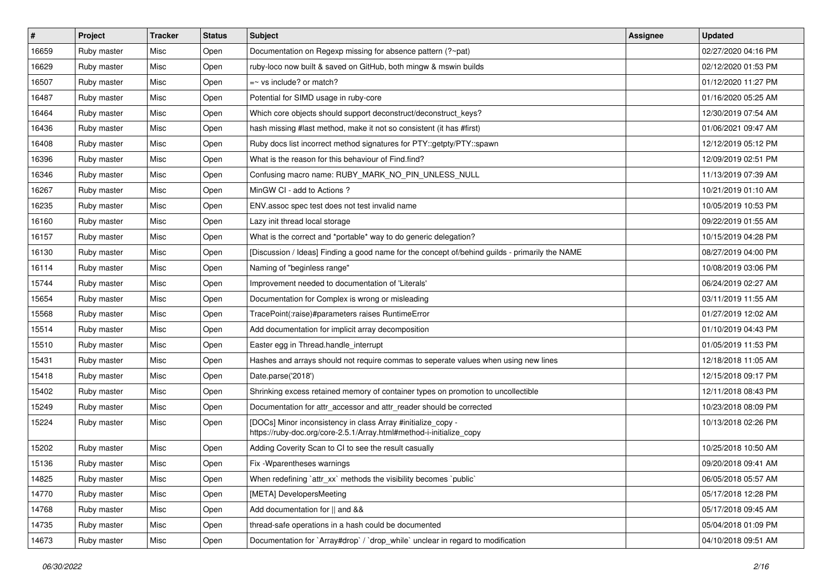| $\vert$ # | Project     | <b>Tracker</b> | <b>Status</b> | <b>Subject</b>                                                                                                                      | Assignee | <b>Updated</b>      |
|-----------|-------------|----------------|---------------|-------------------------------------------------------------------------------------------------------------------------------------|----------|---------------------|
| 16659     | Ruby master | Misc           | Open          | Documentation on Regexp missing for absence pattern (?~pat)                                                                         |          | 02/27/2020 04:16 PM |
| 16629     | Ruby master | Misc           | Open          | ruby-loco now built & saved on GitHub, both mingw & mswin builds                                                                    |          | 02/12/2020 01:53 PM |
| 16507     | Ruby master | Misc           | Open          | $=$ vs include? or match?                                                                                                           |          | 01/12/2020 11:27 PM |
| 16487     | Ruby master | Misc           | Open          | Potential for SIMD usage in ruby-core                                                                                               |          | 01/16/2020 05:25 AM |
| 16464     | Ruby master | Misc           | Open          | Which core objects should support deconstruct/deconstruct_keys?                                                                     |          | 12/30/2019 07:54 AM |
| 16436     | Ruby master | Misc           | Open          | hash missing #last method, make it not so consistent (it has #first)                                                                |          | 01/06/2021 09:47 AM |
| 16408     | Ruby master | Misc           | Open          | Ruby docs list incorrect method signatures for PTY::getpty/PTY::spawn                                                               |          | 12/12/2019 05:12 PM |
| 16396     | Ruby master | Misc           | Open          | What is the reason for this behaviour of Find.find?                                                                                 |          | 12/09/2019 02:51 PM |
| 16346     | Ruby master | Misc           | Open          | Confusing macro name: RUBY_MARK_NO_PIN_UNLESS_NULL                                                                                  |          | 11/13/2019 07:39 AM |
| 16267     | Ruby master | Misc           | Open          | MinGW CI - add to Actions ?                                                                                                         |          | 10/21/2019 01:10 AM |
| 16235     | Ruby master | Misc           | Open          | ENV assoc spec test does not test invalid name                                                                                      |          | 10/05/2019 10:53 PM |
| 16160     | Ruby master | Misc           | Open          | Lazy init thread local storage                                                                                                      |          | 09/22/2019 01:55 AM |
| 16157     | Ruby master | Misc           | Open          | What is the correct and *portable* way to do generic delegation?                                                                    |          | 10/15/2019 04:28 PM |
| 16130     | Ruby master | Misc           | Open          | [Discussion / Ideas] Finding a good name for the concept of/behind quilds - primarily the NAME                                      |          | 08/27/2019 04:00 PM |
| 16114     | Ruby master | Misc           | Open          | Naming of "beginless range"                                                                                                         |          | 10/08/2019 03:06 PM |
| 15744     | Ruby master | Misc           | Open          | Improvement needed to documentation of 'Literals'                                                                                   |          | 06/24/2019 02:27 AM |
| 15654     | Ruby master | Misc           | Open          | Documentation for Complex is wrong or misleading                                                                                    |          | 03/11/2019 11:55 AM |
| 15568     | Ruby master | Misc           | Open          | TracePoint(:raise)#parameters raises RuntimeError                                                                                   |          | 01/27/2019 12:02 AM |
| 15514     | Ruby master | Misc           | Open          | Add documentation for implicit array decomposition                                                                                  |          | 01/10/2019 04:43 PM |
| 15510     | Ruby master | Misc           | Open          | Easter egg in Thread.handle_interrupt                                                                                               |          | 01/05/2019 11:53 PM |
| 15431     | Ruby master | Misc           | Open          | Hashes and arrays should not require commas to seperate values when using new lines                                                 |          | 12/18/2018 11:05 AM |
| 15418     | Ruby master | Misc           | Open          | Date.parse('2018')                                                                                                                  |          | 12/15/2018 09:17 PM |
| 15402     | Ruby master | Misc           | Open          | Shrinking excess retained memory of container types on promotion to uncollectible                                                   |          | 12/11/2018 08:43 PM |
| 15249     | Ruby master | Misc           | Open          | Documentation for attr_accessor and attr_reader should be corrected                                                                 |          | 10/23/2018 08:09 PM |
| 15224     | Ruby master | Misc           | Open          | [DOCs] Minor inconsistency in class Array #initialize_copy -<br>https://ruby-doc.org/core-2.5.1/Array.html#method-i-initialize_copy |          | 10/13/2018 02:26 PM |
| 15202     | Ruby master | Misc           | Open          | Adding Coverity Scan to CI to see the result casually                                                                               |          | 10/25/2018 10:50 AM |
| 15136     | Ruby master | Misc           | Open          | Fix - Wparentheses warnings                                                                                                         |          | 09/20/2018 09:41 AM |
| 14825     | Ruby master | Misc           | Open          | When redefining `attr_xx` methods the visibility becomes `public`                                                                   |          | 06/05/2018 05:57 AM |
| 14770     | Ruby master | Misc           | Open          | [META] DevelopersMeeting                                                                                                            |          | 05/17/2018 12:28 PM |
| 14768     | Ruby master | Misc           | Open          | Add documentation for    and &&                                                                                                     |          | 05/17/2018 09:45 AM |
| 14735     | Ruby master | Misc           | Open          | thread-safe operations in a hash could be documented                                                                                |          | 05/04/2018 01:09 PM |
| 14673     | Ruby master | Misc           | Open          | Documentation for `Array#drop` / `drop_while` unclear in regard to modification                                                     |          | 04/10/2018 09:51 AM |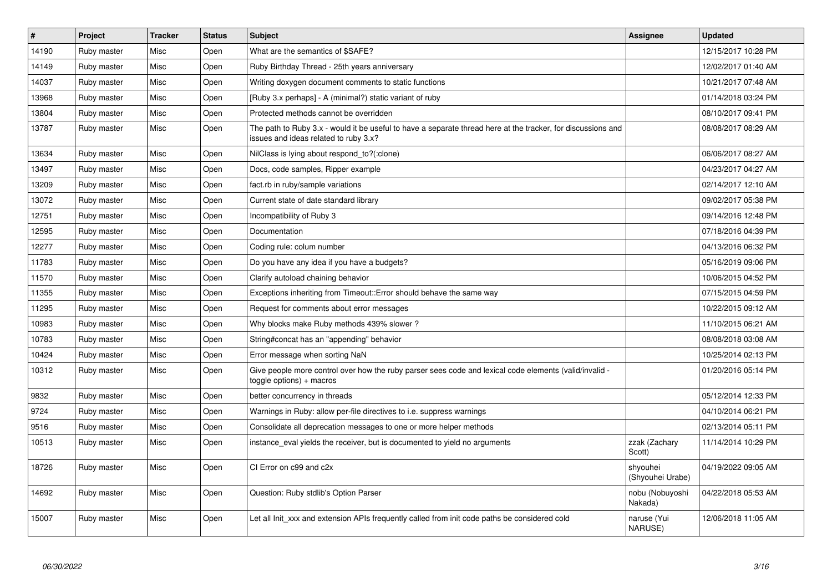| $\vert$ # | <b>Project</b> | <b>Tracker</b> | <b>Status</b> | <b>Subject</b>                                                                                                                                        | <b>Assignee</b>              | <b>Updated</b>      |
|-----------|----------------|----------------|---------------|-------------------------------------------------------------------------------------------------------------------------------------------------------|------------------------------|---------------------|
| 14190     | Ruby master    | Misc           | Open          | What are the semantics of \$SAFE?                                                                                                                     |                              | 12/15/2017 10:28 PM |
| 14149     | Ruby master    | Misc           | Open          | Ruby Birthday Thread - 25th years anniversary                                                                                                         |                              | 12/02/2017 01:40 AM |
| 14037     | Ruby master    | Misc           | Open          | Writing doxygen document comments to static functions                                                                                                 |                              | 10/21/2017 07:48 AM |
| 13968     | Ruby master    | Misc           | Open          | [Ruby 3.x perhaps] - A (minimal?) static variant of ruby                                                                                              |                              | 01/14/2018 03:24 PM |
| 13804     | Ruby master    | Misc           | Open          | Protected methods cannot be overridden                                                                                                                |                              | 08/10/2017 09:41 PM |
| 13787     | Ruby master    | Misc           | Open          | The path to Ruby 3.x - would it be useful to have a separate thread here at the tracker, for discussions and<br>issues and ideas related to ruby 3.x? |                              | 08/08/2017 08:29 AM |
| 13634     | Ruby master    | Misc           | Open          | NilClass is lying about respond to?(:clone)                                                                                                           |                              | 06/06/2017 08:27 AM |
| 13497     | Ruby master    | Misc           | Open          | Docs, code samples, Ripper example                                                                                                                    |                              | 04/23/2017 04:27 AM |
| 13209     | Ruby master    | Misc           | Open          | fact.rb in ruby/sample variations                                                                                                                     |                              | 02/14/2017 12:10 AM |
| 13072     | Ruby master    | Misc           | Open          | Current state of date standard library                                                                                                                |                              | 09/02/2017 05:38 PM |
| 12751     | Ruby master    | Misc           | Open          | Incompatibility of Ruby 3                                                                                                                             |                              | 09/14/2016 12:48 PM |
| 12595     | Ruby master    | Misc           | Open          | Documentation                                                                                                                                         |                              | 07/18/2016 04:39 PM |
| 12277     | Ruby master    | Misc           | Open          | Coding rule: colum number                                                                                                                             |                              | 04/13/2016 06:32 PM |
| 11783     | Ruby master    | Misc           | Open          | Do you have any idea if you have a budgets?                                                                                                           |                              | 05/16/2019 09:06 PM |
| 11570     | Ruby master    | Misc           | Open          | Clarify autoload chaining behavior                                                                                                                    |                              | 10/06/2015 04:52 PM |
| 11355     | Ruby master    | Misc           | Open          | Exceptions inheriting from Timeout:: Error should behave the same way                                                                                 |                              | 07/15/2015 04:59 PM |
| 11295     | Ruby master    | Misc           | Open          | Request for comments about error messages                                                                                                             |                              | 10/22/2015 09:12 AM |
| 10983     | Ruby master    | Misc           | Open          | Why blocks make Ruby methods 439% slower?                                                                                                             |                              | 11/10/2015 06:21 AM |
| 10783     | Ruby master    | Misc           | Open          | String#concat has an "appending" behavior                                                                                                             |                              | 08/08/2018 03:08 AM |
| 10424     | Ruby master    | Misc           | Open          | Error message when sorting NaN                                                                                                                        |                              | 10/25/2014 02:13 PM |
| 10312     | Ruby master    | Misc           | Open          | Give people more control over how the ruby parser sees code and lexical code elements (valid/invalid -<br>toggle options) + macros                    |                              | 01/20/2016 05:14 PM |
| 9832      | Ruby master    | Misc           | Open          | better concurrency in threads                                                                                                                         |                              | 05/12/2014 12:33 PM |
| 9724      | Ruby master    | Misc           | Open          | Warnings in Ruby: allow per-file directives to i.e. suppress warnings                                                                                 |                              | 04/10/2014 06:21 PM |
| 9516      | Ruby master    | Misc           | Open          | Consolidate all deprecation messages to one or more helper methods                                                                                    |                              | 02/13/2014 05:11 PM |
| 10513     | Ruby master    | Misc           | Open          | instance eval yields the receiver, but is documented to yield no arguments                                                                            | zzak (Zachary<br>Scott)      | 11/14/2014 10:29 PM |
| 18726     | Ruby master    | Misc           | Open          | CI Error on c99 and c2x                                                                                                                               | shyouhei<br>(Shyouhei Urabe) | 04/19/2022 09:05 AM |
| 14692     | Ruby master    | Misc           | Open          | Question: Ruby stdlib's Option Parser                                                                                                                 | nobu (Nobuyoshi<br>Nakada)   | 04/22/2018 05:53 AM |
| 15007     | Ruby master    | Misc           | Open          | Let all Init_xxx and extension APIs frequently called from init code paths be considered cold                                                         | naruse (Yui<br>NARUSE)       | 12/06/2018 11:05 AM |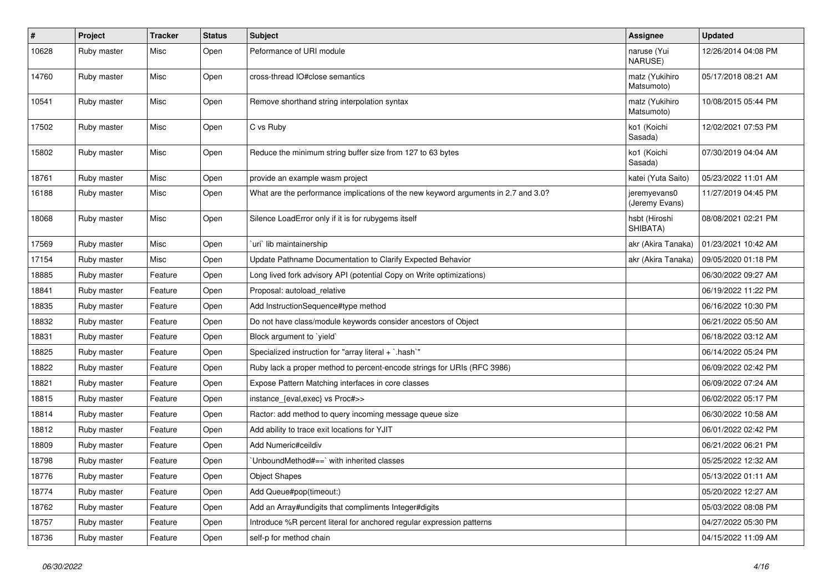| $\sharp$ | Project     | <b>Tracker</b> | <b>Status</b> | Subject                                                                            | <b>Assignee</b>                | <b>Updated</b>      |
|----------|-------------|----------------|---------------|------------------------------------------------------------------------------------|--------------------------------|---------------------|
| 10628    | Ruby master | Misc           | Open          | Peformance of URI module                                                           | naruse (Yui<br>NARUSE)         | 12/26/2014 04:08 PM |
| 14760    | Ruby master | Misc           | Open          | cross-thread IO#close semantics                                                    | matz (Yukihiro<br>Matsumoto)   | 05/17/2018 08:21 AM |
| 10541    | Ruby master | Misc           | Open          | Remove shorthand string interpolation syntax                                       | matz (Yukihiro<br>Matsumoto)   | 10/08/2015 05:44 PM |
| 17502    | Ruby master | Misc           | Open          | C vs Ruby                                                                          | ko1 (Koichi<br>Sasada)         | 12/02/2021 07:53 PM |
| 15802    | Ruby master | Misc           | Open          | Reduce the minimum string buffer size from 127 to 63 bytes                         | ko1 (Koichi<br>Sasada)         | 07/30/2019 04:04 AM |
| 18761    | Ruby master | Misc           | Open          | provide an example wasm project                                                    | katei (Yuta Saito)             | 05/23/2022 11:01 AM |
| 16188    | Ruby master | Misc           | Open          | What are the performance implications of the new keyword arguments in 2.7 and 3.0? | jeremyevans0<br>(Jeremy Evans) | 11/27/2019 04:45 PM |
| 18068    | Ruby master | Misc           | Open          | Silence LoadError only if it is for rubygems itself                                | hsbt (Hiroshi<br>SHIBATA)      | 08/08/2021 02:21 PM |
| 17569    | Ruby master | Misc           | Open          | uri lib maintainership                                                             | akr (Akira Tanaka)             | 01/23/2021 10:42 AM |
| 17154    | Ruby master | Misc           | Open          | Update Pathname Documentation to Clarify Expected Behavior                         | akr (Akira Tanaka)             | 09/05/2020 01:18 PM |
| 18885    | Ruby master | Feature        | Open          | Long lived fork advisory API (potential Copy on Write optimizations)               |                                | 06/30/2022 09:27 AM |
| 18841    | Ruby master | Feature        | Open          | Proposal: autoload_relative                                                        |                                | 06/19/2022 11:22 PM |
| 18835    | Ruby master | Feature        | Open          | Add InstructionSequence#type method                                                |                                | 06/16/2022 10:30 PM |
| 18832    | Ruby master | Feature        | Open          | Do not have class/module keywords consider ancestors of Object                     |                                | 06/21/2022 05:50 AM |
| 18831    | Ruby master | Feature        | Open          | Block argument to `yield`                                                          |                                | 06/18/2022 03:12 AM |
| 18825    | Ruby master | Feature        | Open          | Specialized instruction for "array literal + `.hash`"                              |                                | 06/14/2022 05:24 PM |
| 18822    | Ruby master | Feature        | Open          | Ruby lack a proper method to percent-encode strings for URIs (RFC 3986)            |                                | 06/09/2022 02:42 PM |
| 18821    | Ruby master | Feature        | Open          | Expose Pattern Matching interfaces in core classes                                 |                                | 06/09/2022 07:24 AM |
| 18815    | Ruby master | Feature        | Open          | instance_{eval,exec} vs Proc#>>                                                    |                                | 06/02/2022 05:17 PM |
| 18814    | Ruby master | Feature        | Open          | Ractor: add method to query incoming message queue size                            |                                | 06/30/2022 10:58 AM |
| 18812    | Ruby master | Feature        | Open          | Add ability to trace exit locations for YJIT                                       |                                | 06/01/2022 02:42 PM |
| 18809    | Ruby master | Feature        | Open          | Add Numeric#ceildiv                                                                |                                | 06/21/2022 06:21 PM |
| 18798    | Ruby master | Feature        | Open          | UnboundMethod# $==$ ` with inherited classes                                       |                                | 05/25/2022 12:32 AM |
| 18776    | Ruby master | Feature        | Open          | <b>Object Shapes</b>                                                               |                                | 05/13/2022 01:11 AM |
| 18774    | Ruby master | Feature        | Open          | Add Queue#pop(timeout:)                                                            |                                | 05/20/2022 12:27 AM |
| 18762    | Ruby master | Feature        | Open          | Add an Array#undigits that compliments Integer#digits                              |                                | 05/03/2022 08:08 PM |
| 18757    | Ruby master | Feature        | Open          | Introduce %R percent literal for anchored regular expression patterns              |                                | 04/27/2022 05:30 PM |
| 18736    | Ruby master | Feature        | Open          | self-p for method chain                                                            |                                | 04/15/2022 11:09 AM |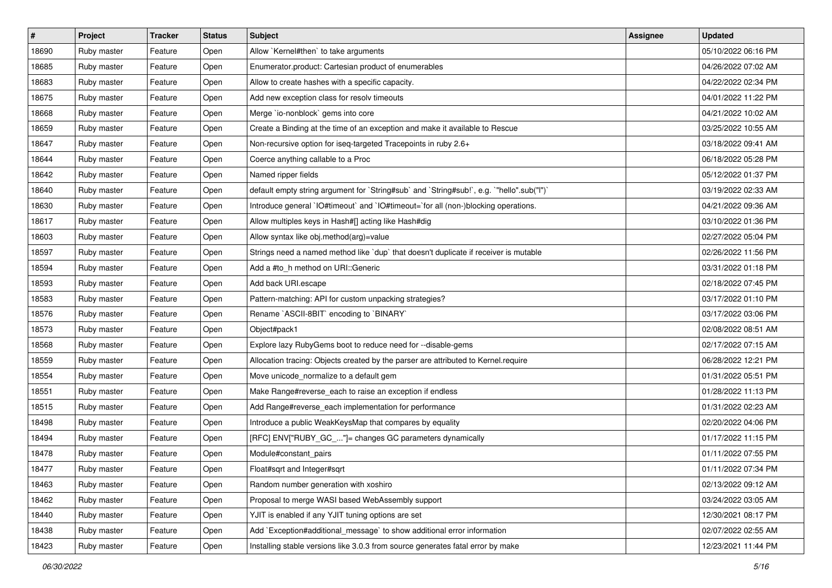| $\vert$ # | Project     | <b>Tracker</b> | <b>Status</b> | <b>Subject</b>                                                                            | <b>Assignee</b> | <b>Updated</b>      |
|-----------|-------------|----------------|---------------|-------------------------------------------------------------------------------------------|-----------------|---------------------|
| 18690     | Ruby master | Feature        | Open          | Allow `Kernel#then` to take arguments                                                     |                 | 05/10/2022 06:16 PM |
| 18685     | Ruby master | Feature        | Open          | Enumerator.product: Cartesian product of enumerables                                      |                 | 04/26/2022 07:02 AM |
| 18683     | Ruby master | Feature        | Open          | Allow to create hashes with a specific capacity.                                          |                 | 04/22/2022 02:34 PM |
| 18675     | Ruby master | Feature        | Open          | Add new exception class for resolv timeouts                                               |                 | 04/01/2022 11:22 PM |
| 18668     | Ruby master | Feature        | Open          | Merge `io-nonblock` gems into core                                                        |                 | 04/21/2022 10:02 AM |
| 18659     | Ruby master | Feature        | Open          | Create a Binding at the time of an exception and make it available to Rescue              |                 | 03/25/2022 10:55 AM |
| 18647     | Ruby master | Feature        | Open          | Non-recursive option for iseq-targeted Tracepoints in ruby 2.6+                           |                 | 03/18/2022 09:41 AM |
| 18644     | Ruby master | Feature        | Open          | Coerce anything callable to a Proc                                                        |                 | 06/18/2022 05:28 PM |
| 18642     | Ruby master | Feature        | Open          | Named ripper fields                                                                       |                 | 05/12/2022 01:37 PM |
| 18640     | Ruby master | Feature        | Open          | default empty string argument for `String#sub` and `String#sub!`, e.g. `"hello".sub("I")` |                 | 03/19/2022 02:33 AM |
| 18630     | Ruby master | Feature        | Open          | Introduce general `IO#timeout` and `IO#timeout=`for all (non-)blocking operations.        |                 | 04/21/2022 09:36 AM |
| 18617     | Ruby master | Feature        | Open          | Allow multiples keys in Hash#[] acting like Hash#dig                                      |                 | 03/10/2022 01:36 PM |
| 18603     | Ruby master | Feature        | Open          | Allow syntax like obj.method(arg)=value                                                   |                 | 02/27/2022 05:04 PM |
| 18597     | Ruby master | Feature        | Open          | Strings need a named method like `dup` that doesn't duplicate if receiver is mutable      |                 | 02/26/2022 11:56 PM |
| 18594     | Ruby master | Feature        | Open          | Add a #to_h method on URI::Generic                                                        |                 | 03/31/2022 01:18 PM |
| 18593     | Ruby master | Feature        | Open          | Add back URI.escape                                                                       |                 | 02/18/2022 07:45 PM |
| 18583     | Ruby master | Feature        | Open          | Pattern-matching: API for custom unpacking strategies?                                    |                 | 03/17/2022 01:10 PM |
| 18576     | Ruby master | Feature        | Open          | Rename `ASCII-8BIT` encoding to `BINARY`                                                  |                 | 03/17/2022 03:06 PM |
| 18573     | Ruby master | Feature        | Open          | Object#pack1                                                                              |                 | 02/08/2022 08:51 AM |
| 18568     | Ruby master | Feature        | Open          | Explore lazy RubyGems boot to reduce need for --disable-gems                              |                 | 02/17/2022 07:15 AM |
| 18559     | Ruby master | Feature        | Open          | Allocation tracing: Objects created by the parser are attributed to Kernel.require        |                 | 06/28/2022 12:21 PM |
| 18554     | Ruby master | Feature        | Open          | Move unicode_normalize to a default gem                                                   |                 | 01/31/2022 05:51 PM |
| 18551     | Ruby master | Feature        | Open          | Make Range#reverse_each to raise an exception if endless                                  |                 | 01/28/2022 11:13 PM |
| 18515     | Ruby master | Feature        | Open          | Add Range#reverse_each implementation for performance                                     |                 | 01/31/2022 02:23 AM |
| 18498     | Ruby master | Feature        | Open          | Introduce a public WeakKeysMap that compares by equality                                  |                 | 02/20/2022 04:06 PM |
| 18494     | Ruby master | Feature        | Open          | [RFC] ENV["RUBY_GC_"]= changes GC parameters dynamically                                  |                 | 01/17/2022 11:15 PM |
| 18478     | Ruby master | Feature        | Open          | Module#constant_pairs                                                                     |                 | 01/11/2022 07:55 PM |
| 18477     | Ruby master | Feature        | Open          | Float#sqrt and Integer#sqrt                                                               |                 | 01/11/2022 07:34 PM |
| 18463     | Ruby master | Feature        | Open          | Random number generation with xoshiro                                                     |                 | 02/13/2022 09:12 AM |
| 18462     | Ruby master | Feature        | Open          | Proposal to merge WASI based WebAssembly support                                          |                 | 03/24/2022 03:05 AM |
| 18440     | Ruby master | Feature        | Open          | YJIT is enabled if any YJIT tuning options are set                                        |                 | 12/30/2021 08:17 PM |
| 18438     | Ruby master | Feature        | Open          | Add `Exception#additional_message` to show additional error information                   |                 | 02/07/2022 02:55 AM |
| 18423     | Ruby master | Feature        | Open          | Installing stable versions like 3.0.3 from source generates fatal error by make           |                 | 12/23/2021 11:44 PM |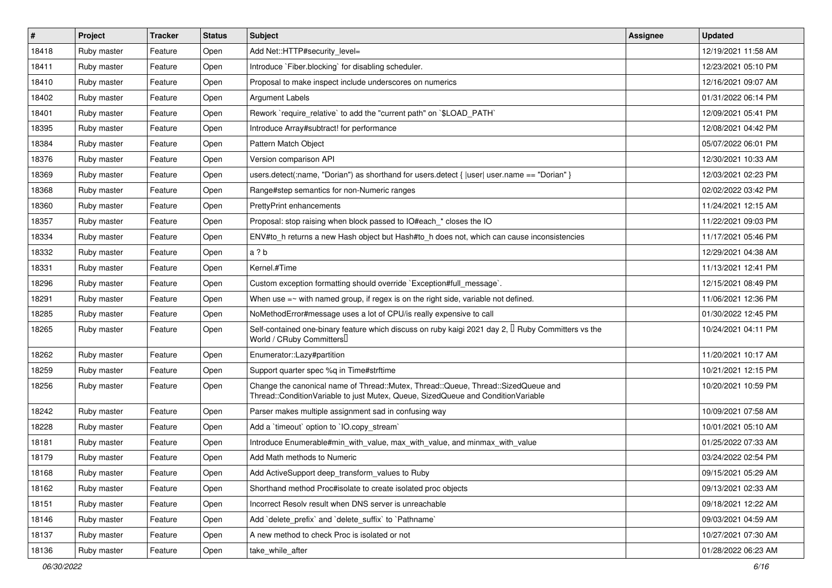| $\sharp$ | Project     | <b>Tracker</b> | <b>Status</b> | Subject                                                                                                                                                               | Assignee | <b>Updated</b>      |
|----------|-------------|----------------|---------------|-----------------------------------------------------------------------------------------------------------------------------------------------------------------------|----------|---------------------|
| 18418    | Ruby master | Feature        | Open          | Add Net::HTTP#security_level=                                                                                                                                         |          | 12/19/2021 11:58 AM |
| 18411    | Ruby master | Feature        | Open          | Introduce `Fiber.blocking` for disabling scheduler.                                                                                                                   |          | 12/23/2021 05:10 PM |
| 18410    | Ruby master | Feature        | Open          | Proposal to make inspect include underscores on numerics                                                                                                              |          | 12/16/2021 09:07 AM |
| 18402    | Ruby master | Feature        | Open          | <b>Argument Labels</b>                                                                                                                                                |          | 01/31/2022 06:14 PM |
| 18401    | Ruby master | Feature        | Open          | Rework `require_relative` to add the "current path" on `\$LOAD_PATH`                                                                                                  |          | 12/09/2021 05:41 PM |
| 18395    | Ruby master | Feature        | Open          | Introduce Array#subtract! for performance                                                                                                                             |          | 12/08/2021 04:42 PM |
| 18384    | Ruby master | Feature        | Open          | Pattern Match Object                                                                                                                                                  |          | 05/07/2022 06:01 PM |
| 18376    | Ruby master | Feature        | Open          | Version comparison API                                                                                                                                                |          | 12/30/2021 10:33 AM |
| 18369    | Ruby master | Feature        | Open          | users.detect(:name, "Dorian") as shorthand for users.detect {  user  user.name == "Dorian" }                                                                          |          | 12/03/2021 02:23 PM |
| 18368    | Ruby master | Feature        | Open          | Range#step semantics for non-Numeric ranges                                                                                                                           |          | 02/02/2022 03:42 PM |
| 18360    | Ruby master | Feature        | Open          | <b>PrettyPrint enhancements</b>                                                                                                                                       |          | 11/24/2021 12:15 AM |
| 18357    | Ruby master | Feature        | Open          | Proposal: stop raising when block passed to IO#each_* closes the IO                                                                                                   |          | 11/22/2021 09:03 PM |
| 18334    | Ruby master | Feature        | Open          | ENV#to_h returns a new Hash object but Hash#to_h does not, which can cause inconsistencies                                                                            |          | 11/17/2021 05:46 PM |
| 18332    | Ruby master | Feature        | Open          | a ? b                                                                                                                                                                 |          | 12/29/2021 04:38 AM |
| 18331    | Ruby master | Feature        | Open          | Kernel.#Time                                                                                                                                                          |          | 11/13/2021 12:41 PM |
| 18296    | Ruby master | Feature        | Open          | Custom exception formatting should override `Exception#full_message`.                                                                                                 |          | 12/15/2021 08:49 PM |
| 18291    | Ruby master | Feature        | Open          | When use $=\sim$ with named group, if regex is on the right side, variable not defined.                                                                               |          | 11/06/2021 12:36 PM |
| 18285    | Ruby master | Feature        | Open          | NoMethodError#message uses a lot of CPU/is really expensive to call                                                                                                   |          | 01/30/2022 12:45 PM |
| 18265    | Ruby master | Feature        | Open          | Self-contained one-binary feature which discuss on ruby kaigi 2021 day 2, $\Box$ Ruby Committers vs the<br>World / CRuby Committers                                   |          | 10/24/2021 04:11 PM |
| 18262    | Ruby master | Feature        | Open          | Enumerator::Lazy#partition                                                                                                                                            |          | 11/20/2021 10:17 AM |
| 18259    | Ruby master | Feature        | Open          | Support quarter spec %q in Time#strftime                                                                                                                              |          | 10/21/2021 12:15 PM |
| 18256    | Ruby master | Feature        | Open          | Change the canonical name of Thread::Mutex, Thread::Queue, Thread::SizedQueue and<br>Thread::ConditionVariable to just Mutex, Queue, SizedQueue and ConditionVariable |          | 10/20/2021 10:59 PM |
| 18242    | Ruby master | Feature        | Open          | Parser makes multiple assignment sad in confusing way                                                                                                                 |          | 10/09/2021 07:58 AM |
| 18228    | Ruby master | Feature        | Open          | Add a 'timeout' option to 'IO.copy_stream'                                                                                                                            |          | 10/01/2021 05:10 AM |
| 18181    | Ruby master | Feature        | Open          | Introduce Enumerable#min_with_value, max_with_value, and minmax_with_value                                                                                            |          | 01/25/2022 07:33 AM |
| 18179    | Ruby master | Feature        | Open          | Add Math methods to Numeric                                                                                                                                           |          | 03/24/2022 02:54 PM |
| 18168    | Ruby master | Feature        | Open          | Add ActiveSupport deep_transform_values to Ruby                                                                                                                       |          | 09/15/2021 05:29 AM |
| 18162    | Ruby master | Feature        | Open          | Shorthand method Proc#isolate to create isolated proc objects                                                                                                         |          | 09/13/2021 02:33 AM |
| 18151    | Ruby master | Feature        | Open          | Incorrect Resolv result when DNS server is unreachable                                                                                                                |          | 09/18/2021 12:22 AM |
| 18146    | Ruby master | Feature        | Open          | Add 'delete prefix' and 'delete suffix' to 'Pathname'                                                                                                                 |          | 09/03/2021 04:59 AM |
| 18137    | Ruby master | Feature        | Open          | A new method to check Proc is isolated or not                                                                                                                         |          | 10/27/2021 07:30 AM |
| 18136    | Ruby master | Feature        | Open          | take_while_after                                                                                                                                                      |          | 01/28/2022 06:23 AM |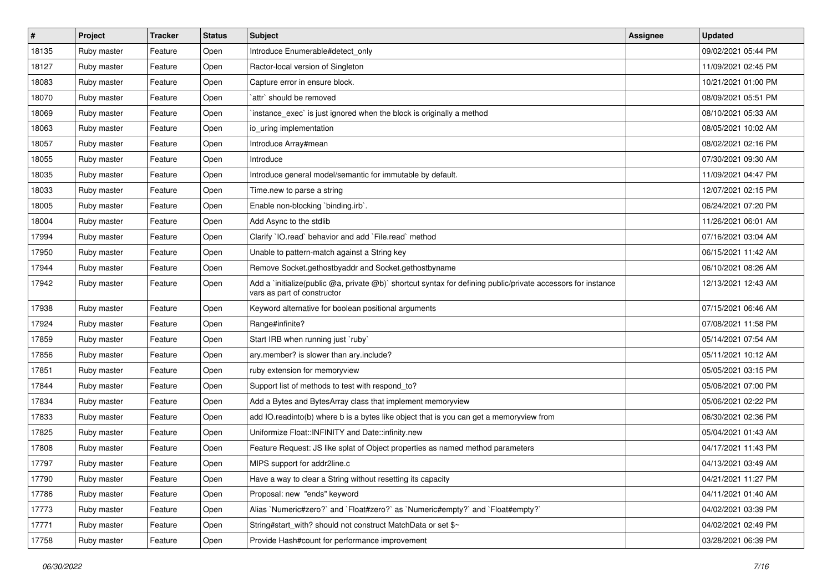| $\sharp$ | Project     | <b>Tracker</b> | <b>Status</b> | Subject                                                                                                                                     | <b>Assignee</b> | <b>Updated</b>      |
|----------|-------------|----------------|---------------|---------------------------------------------------------------------------------------------------------------------------------------------|-----------------|---------------------|
| 18135    | Ruby master | Feature        | Open          | Introduce Enumerable#detect_only                                                                                                            |                 | 09/02/2021 05:44 PM |
| 18127    | Ruby master | Feature        | Open          | Ractor-local version of Singleton                                                                                                           |                 | 11/09/2021 02:45 PM |
| 18083    | Ruby master | Feature        | Open          | Capture error in ensure block.                                                                                                              |                 | 10/21/2021 01:00 PM |
| 18070    | Ruby master | Feature        | Open          | attr' should be removed                                                                                                                     |                 | 08/09/2021 05:51 PM |
| 18069    | Ruby master | Feature        | Open          | instance exec is just ignored when the block is originally a method                                                                         |                 | 08/10/2021 05:33 AM |
| 18063    | Ruby master | Feature        | Open          | io uring implementation                                                                                                                     |                 | 08/05/2021 10:02 AM |
| 18057    | Ruby master | Feature        | Open          | Introduce Array#mean                                                                                                                        |                 | 08/02/2021 02:16 PM |
| 18055    | Ruby master | Feature        | Open          | Introduce                                                                                                                                   |                 | 07/30/2021 09:30 AM |
| 18035    | Ruby master | Feature        | Open          | Introduce general model/semantic for immutable by default.                                                                                  |                 | 11/09/2021 04:47 PM |
| 18033    | Ruby master | Feature        | Open          | Time.new to parse a string                                                                                                                  |                 | 12/07/2021 02:15 PM |
| 18005    | Ruby master | Feature        | Open          | Enable non-blocking `binding.irb`.                                                                                                          |                 | 06/24/2021 07:20 PM |
| 18004    | Ruby master | Feature        | Open          | Add Async to the stdlib                                                                                                                     |                 | 11/26/2021 06:01 AM |
| 17994    | Ruby master | Feature        | Open          | Clarify 'IO.read' behavior and add 'File.read' method                                                                                       |                 | 07/16/2021 03:04 AM |
| 17950    | Ruby master | Feature        | Open          | Unable to pattern-match against a String key                                                                                                |                 | 06/15/2021 11:42 AM |
| 17944    | Ruby master | Feature        | Open          | Remove Socket.gethostbyaddr and Socket.gethostbyname                                                                                        |                 | 06/10/2021 08:26 AM |
| 17942    | Ruby master | Feature        | Open          | Add a `initialize(public @a, private @b)` shortcut syntax for defining public/private accessors for instance<br>vars as part of constructor |                 | 12/13/2021 12:43 AM |
| 17938    | Ruby master | Feature        | Open          | Keyword alternative for boolean positional arguments                                                                                        |                 | 07/15/2021 06:46 AM |
| 17924    | Ruby master | Feature        | Open          | Range#infinite?                                                                                                                             |                 | 07/08/2021 11:58 PM |
| 17859    | Ruby master | Feature        | Open          | Start IRB when running just `ruby`                                                                                                          |                 | 05/14/2021 07:54 AM |
| 17856    | Ruby master | Feature        | Open          | ary.member? is slower than ary.include?                                                                                                     |                 | 05/11/2021 10:12 AM |
| 17851    | Ruby master | Feature        | Open          | ruby extension for memoryview                                                                                                               |                 | 05/05/2021 03:15 PM |
| 17844    | Ruby master | Feature        | Open          | Support list of methods to test with respond_to?                                                                                            |                 | 05/06/2021 07:00 PM |
| 17834    | Ruby master | Feature        | Open          | Add a Bytes and BytesArray class that implement memoryview                                                                                  |                 | 05/06/2021 02:22 PM |
| 17833    | Ruby master | Feature        | Open          | add IO.readinto(b) where b is a bytes like object that is you can get a memoryview from                                                     |                 | 06/30/2021 02:36 PM |
| 17825    | Ruby master | Feature        | Open          | Uniformize Float:: INFINITY and Date:: infinity.new                                                                                         |                 | 05/04/2021 01:43 AM |
| 17808    | Ruby master | Feature        | Open          | Feature Request: JS like splat of Object properties as named method parameters                                                              |                 | 04/17/2021 11:43 PM |
| 17797    | Ruby master | Feature        | Open          | MIPS support for addr2line.c                                                                                                                |                 | 04/13/2021 03:49 AM |
| 17790    | Ruby master | Feature        | Open          | Have a way to clear a String without resetting its capacity                                                                                 |                 | 04/21/2021 11:27 PM |
| 17786    | Ruby master | Feature        | Open          | Proposal: new "ends" keyword                                                                                                                |                 | 04/11/2021 01:40 AM |
| 17773    | Ruby master | Feature        | Open          | Alias `Numeric#zero?` and `Float#zero?` as `Numeric#empty?` and `Float#empty?`                                                              |                 | 04/02/2021 03:39 PM |
| 17771    | Ruby master | Feature        | Open          | String#start_with? should not construct MatchData or set \$~                                                                                |                 | 04/02/2021 02:49 PM |
| 17758    | Ruby master | Feature        | Open          | Provide Hash#count for performance improvement                                                                                              |                 | 03/28/2021 06:39 PM |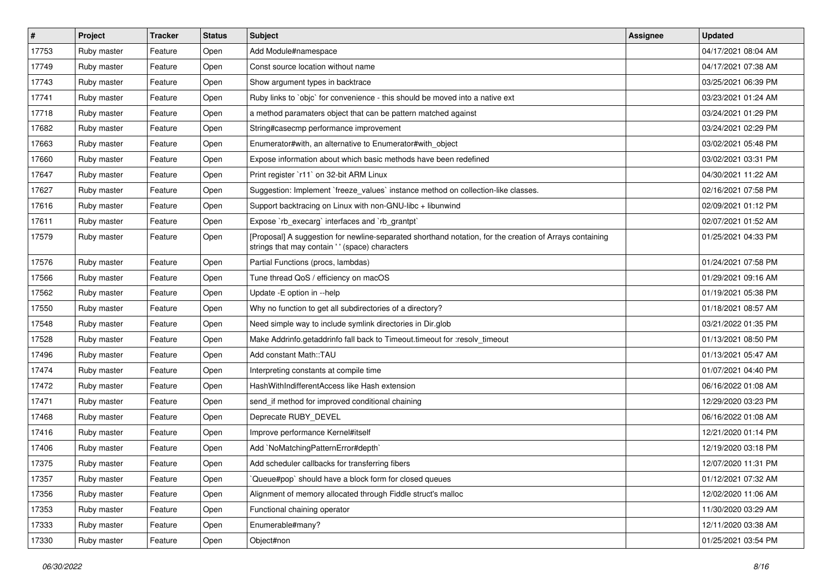| $\vert$ # | Project     | <b>Tracker</b> | <b>Status</b> | Subject                                                                                                                                                    | Assignee | <b>Updated</b>      |
|-----------|-------------|----------------|---------------|------------------------------------------------------------------------------------------------------------------------------------------------------------|----------|---------------------|
| 17753     | Ruby master | Feature        | Open          | Add Module#namespace                                                                                                                                       |          | 04/17/2021 08:04 AM |
| 17749     | Ruby master | Feature        | Open          | Const source location without name                                                                                                                         |          | 04/17/2021 07:38 AM |
| 17743     | Ruby master | Feature        | Open          | Show argument types in backtrace                                                                                                                           |          | 03/25/2021 06:39 PM |
| 17741     | Ruby master | Feature        | Open          | Ruby links to `objc` for convenience - this should be moved into a native ext                                                                              |          | 03/23/2021 01:24 AM |
| 17718     | Ruby master | Feature        | Open          | a method paramaters object that can be pattern matched against                                                                                             |          | 03/24/2021 01:29 PM |
| 17682     | Ruby master | Feature        | Open          | String#casecmp performance improvement                                                                                                                     |          | 03/24/2021 02:29 PM |
| 17663     | Ruby master | Feature        | Open          | Enumerator#with, an alternative to Enumerator#with_object                                                                                                  |          | 03/02/2021 05:48 PM |
| 17660     | Ruby master | Feature        | Open          | Expose information about which basic methods have been redefined                                                                                           |          | 03/02/2021 03:31 PM |
| 17647     | Ruby master | Feature        | Open          | Print register `r11` on 32-bit ARM Linux                                                                                                                   |          | 04/30/2021 11:22 AM |
| 17627     | Ruby master | Feature        | Open          | Suggestion: Implement `freeze_values` instance method on collection-like classes.                                                                          |          | 02/16/2021 07:58 PM |
| 17616     | Ruby master | Feature        | Open          | Support backtracing on Linux with non-GNU-libc + libunwind                                                                                                 |          | 02/09/2021 01:12 PM |
| 17611     | Ruby master | Feature        | Open          | Expose `rb_execarg` interfaces and `rb_grantpt`                                                                                                            |          | 02/07/2021 01:52 AM |
| 17579     | Ruby master | Feature        | Open          | [Proposal] A suggestion for newline-separated shorthand notation, for the creation of Arrays containing<br>strings that may contain ' ' (space) characters |          | 01/25/2021 04:33 PM |
| 17576     | Ruby master | Feature        | Open          | Partial Functions (procs, lambdas)                                                                                                                         |          | 01/24/2021 07:58 PM |
| 17566     | Ruby master | Feature        | Open          | Tune thread QoS / efficiency on macOS                                                                                                                      |          | 01/29/2021 09:16 AM |
| 17562     | Ruby master | Feature        | Open          | Update -E option in --help                                                                                                                                 |          | 01/19/2021 05:38 PM |
| 17550     | Ruby master | Feature        | Open          | Why no function to get all subdirectories of a directory?                                                                                                  |          | 01/18/2021 08:57 AM |
| 17548     | Ruby master | Feature        | Open          | Need simple way to include symlink directories in Dir.glob                                                                                                 |          | 03/21/2022 01:35 PM |
| 17528     | Ruby master | Feature        | Open          | Make Addrinfo.getaddrinfo fall back to Timeout.timeout for :resolv_timeout                                                                                 |          | 01/13/2021 08:50 PM |
| 17496     | Ruby master | Feature        | Open          | Add constant Math::TAU                                                                                                                                     |          | 01/13/2021 05:47 AM |
| 17474     | Ruby master | Feature        | Open          | Interpreting constants at compile time                                                                                                                     |          | 01/07/2021 04:40 PM |
| 17472     | Ruby master | Feature        | Open          | HashWithIndifferentAccess like Hash extension                                                                                                              |          | 06/16/2022 01:08 AM |
| 17471     | Ruby master | Feature        | Open          | send if method for improved conditional chaining                                                                                                           |          | 12/29/2020 03:23 PM |
| 17468     | Ruby master | Feature        | Open          | Deprecate RUBY_DEVEL                                                                                                                                       |          | 06/16/2022 01:08 AM |
| 17416     | Ruby master | Feature        | Open          | Improve performance Kernel#itself                                                                                                                          |          | 12/21/2020 01:14 PM |
| 17406     | Ruby master | Feature        | Open          | Add `NoMatchingPatternError#depth`                                                                                                                         |          | 12/19/2020 03:18 PM |
| 17375     | Ruby master | Feature        | Open          | Add scheduler callbacks for transferring fibers                                                                                                            |          | 12/07/2020 11:31 PM |
| 17357     | Ruby master | Feature        | Open          | Queue#pop`should have a block form for closed queues                                                                                                       |          | 01/12/2021 07:32 AM |
| 17356     | Ruby master | Feature        | Open          | Alignment of memory allocated through Fiddle struct's malloc                                                                                               |          | 12/02/2020 11:06 AM |
| 17353     | Ruby master | Feature        | Open          | Functional chaining operator                                                                                                                               |          | 11/30/2020 03:29 AM |
| 17333     | Ruby master | Feature        | Open          | Enumerable#many?                                                                                                                                           |          | 12/11/2020 03:38 AM |
| 17330     | Ruby master | Feature        | Open          | Object#non                                                                                                                                                 |          | 01/25/2021 03:54 PM |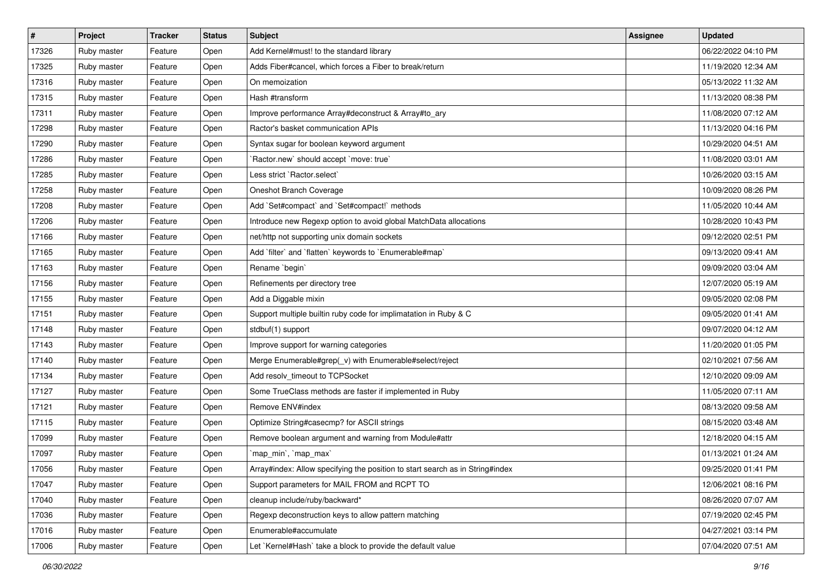| $\vert$ # | Project     | <b>Tracker</b> | <b>Status</b> | Subject                                                                       | <b>Assignee</b> | <b>Updated</b>      |
|-----------|-------------|----------------|---------------|-------------------------------------------------------------------------------|-----------------|---------------------|
| 17326     | Ruby master | Feature        | Open          | Add Kernel#must! to the standard library                                      |                 | 06/22/2022 04:10 PM |
| 17325     | Ruby master | Feature        | Open          | Adds Fiber#cancel, which forces a Fiber to break/return                       |                 | 11/19/2020 12:34 AM |
| 17316     | Ruby master | Feature        | Open          | On memoization                                                                |                 | 05/13/2022 11:32 AM |
| 17315     | Ruby master | Feature        | Open          | Hash #transform                                                               |                 | 11/13/2020 08:38 PM |
| 17311     | Ruby master | Feature        | Open          | Improve performance Array#deconstruct & Array#to_ary                          |                 | 11/08/2020 07:12 AM |
| 17298     | Ruby master | Feature        | Open          | Ractor's basket communication APIs                                            |                 | 11/13/2020 04:16 PM |
| 17290     | Ruby master | Feature        | Open          | Syntax sugar for boolean keyword argument                                     |                 | 10/29/2020 04:51 AM |
| 17286     | Ruby master | Feature        | Open          | 'Ractor.new' should accept 'move: true'                                       |                 | 11/08/2020 03:01 AM |
| 17285     | Ruby master | Feature        | Open          | Less strict `Ractor.select`                                                   |                 | 10/26/2020 03:15 AM |
| 17258     | Ruby master | Feature        | Open          | Oneshot Branch Coverage                                                       |                 | 10/09/2020 08:26 PM |
| 17208     | Ruby master | Feature        | Open          | Add `Set#compact` and `Set#compact!` methods                                  |                 | 11/05/2020 10:44 AM |
| 17206     | Ruby master | Feature        | Open          | Introduce new Regexp option to avoid global MatchData allocations             |                 | 10/28/2020 10:43 PM |
| 17166     | Ruby master | Feature        | Open          | net/http not supporting unix domain sockets                                   |                 | 09/12/2020 02:51 PM |
| 17165     | Ruby master | Feature        | Open          | Add 'filter' and 'flatten' keywords to 'Enumerable#map'                       |                 | 09/13/2020 09:41 AM |
| 17163     | Ruby master | Feature        | Open          | Rename `begin`                                                                |                 | 09/09/2020 03:04 AM |
| 17156     | Ruby master | Feature        | Open          | Refinements per directory tree                                                |                 | 12/07/2020 05:19 AM |
| 17155     | Ruby master | Feature        | Open          | Add a Diggable mixin                                                          |                 | 09/05/2020 02:08 PM |
| 17151     | Ruby master | Feature        | Open          | Support multiple builtin ruby code for implimatation in Ruby & C              |                 | 09/05/2020 01:41 AM |
| 17148     | Ruby master | Feature        | Open          | stdbuf(1) support                                                             |                 | 09/07/2020 04:12 AM |
| 17143     | Ruby master | Feature        | Open          | Improve support for warning categories                                        |                 | 11/20/2020 01:05 PM |
| 17140     | Ruby master | Feature        | Open          | Merge Enumerable#grep(_v) with Enumerable#select/reject                       |                 | 02/10/2021 07:56 AM |
| 17134     | Ruby master | Feature        | Open          | Add resolv_timeout to TCPSocket                                               |                 | 12/10/2020 09:09 AM |
| 17127     | Ruby master | Feature        | Open          | Some TrueClass methods are faster if implemented in Ruby                      |                 | 11/05/2020 07:11 AM |
| 17121     | Ruby master | Feature        | Open          | Remove ENV#index                                                              |                 | 08/13/2020 09:58 AM |
| 17115     | Ruby master | Feature        | Open          | Optimize String#casecmp? for ASCII strings                                    |                 | 08/15/2020 03:48 AM |
| 17099     | Ruby master | Feature        | Open          | Remove boolean argument and warning from Module#attr                          |                 | 12/18/2020 04:15 AM |
| 17097     | Ruby master | Feature        | Open          | `map_min`, `map_max`                                                          |                 | 01/13/2021 01:24 AM |
| 17056     | Ruby master | Feature        | Open          | Array#index: Allow specifying the position to start search as in String#index |                 | 09/25/2020 01:41 PM |
| 17047     | Ruby master | Feature        | Open          | Support parameters for MAIL FROM and RCPT TO                                  |                 | 12/06/2021 08:16 PM |
| 17040     | Ruby master | Feature        | Open          | cleanup include/ruby/backward*                                                |                 | 08/26/2020 07:07 AM |
| 17036     | Ruby master | Feature        | Open          | Regexp deconstruction keys to allow pattern matching                          |                 | 07/19/2020 02:45 PM |
| 17016     | Ruby master | Feature        | Open          | Enumerable#accumulate                                                         |                 | 04/27/2021 03:14 PM |
| 17006     | Ruby master | Feature        | Open          | Let `Kernel#Hash` take a block to provide the default value                   |                 | 07/04/2020 07:51 AM |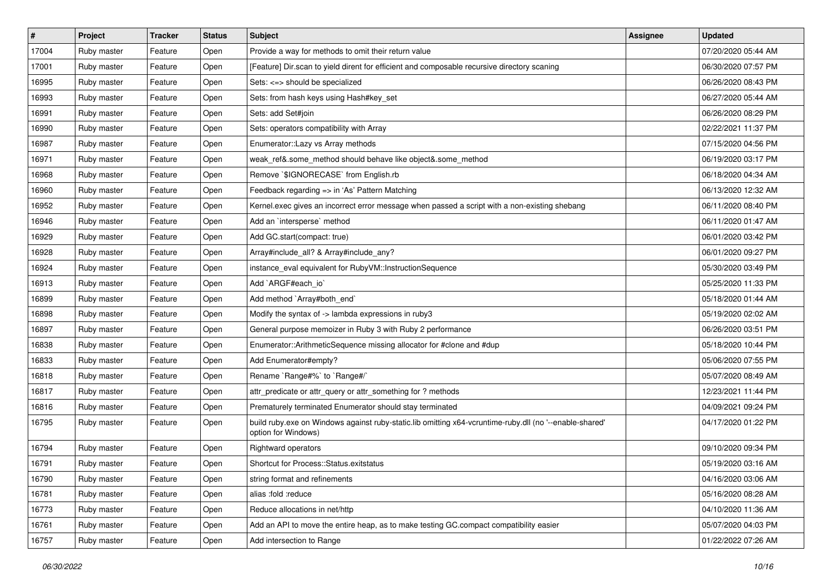| $\vert$ # | Project     | <b>Tracker</b> | <b>Status</b> | Subject                                                                                                                        | Assignee | <b>Updated</b>      |
|-----------|-------------|----------------|---------------|--------------------------------------------------------------------------------------------------------------------------------|----------|---------------------|
| 17004     | Ruby master | Feature        | Open          | Provide a way for methods to omit their return value                                                                           |          | 07/20/2020 05:44 AM |
| 17001     | Ruby master | Feature        | Open          | [Feature] Dir.scan to yield dirent for efficient and composable recursive directory scaning                                    |          | 06/30/2020 07:57 PM |
| 16995     | Ruby master | Feature        | Open          | Sets: <=> should be specialized                                                                                                |          | 06/26/2020 08:43 PM |
| 16993     | Ruby master | Feature        | Open          | Sets: from hash keys using Hash#key_set                                                                                        |          | 06/27/2020 05:44 AM |
| 16991     | Ruby master | Feature        | Open          | Sets: add Set#join                                                                                                             |          | 06/26/2020 08:29 PM |
| 16990     | Ruby master | Feature        | Open          | Sets: operators compatibility with Array                                                                                       |          | 02/22/2021 11:37 PM |
| 16987     | Ruby master | Feature        | Open          | Enumerator::Lazy vs Array methods                                                                                              |          | 07/15/2020 04:56 PM |
| 16971     | Ruby master | Feature        | Open          | weak_ref&.some_method should behave like object&.some_method                                                                   |          | 06/19/2020 03:17 PM |
| 16968     | Ruby master | Feature        | Open          | Remove `\$IGNORECASE` from English.rb                                                                                          |          | 06/18/2020 04:34 AM |
| 16960     | Ruby master | Feature        | Open          | Feedback regarding => in 'As' Pattern Matching                                                                                 |          | 06/13/2020 12:32 AM |
| 16952     | Ruby master | Feature        | Open          | Kernel.exec gives an incorrect error message when passed a script with a non-existing shebang                                  |          | 06/11/2020 08:40 PM |
| 16946     | Ruby master | Feature        | Open          | Add an `intersperse` method                                                                                                    |          | 06/11/2020 01:47 AM |
| 16929     | Ruby master | Feature        | Open          | Add GC.start(compact: true)                                                                                                    |          | 06/01/2020 03:42 PM |
| 16928     | Ruby master | Feature        | Open          | Array#include_all? & Array#include_any?                                                                                        |          | 06/01/2020 09:27 PM |
| 16924     | Ruby master | Feature        | Open          | instance_eval equivalent for RubyVM::InstructionSequence                                                                       |          | 05/30/2020 03:49 PM |
| 16913     | Ruby master | Feature        | Open          | Add `ARGF#each_io`                                                                                                             |          | 05/25/2020 11:33 PM |
| 16899     | Ruby master | Feature        | Open          | Add method `Array#both_end`                                                                                                    |          | 05/18/2020 01:44 AM |
| 16898     | Ruby master | Feature        | Open          | Modify the syntax of -> lambda expressions in ruby3                                                                            |          | 05/19/2020 02:02 AM |
| 16897     | Ruby master | Feature        | Open          | General purpose memoizer in Ruby 3 with Ruby 2 performance                                                                     |          | 06/26/2020 03:51 PM |
| 16838     | Ruby master | Feature        | Open          | Enumerator::ArithmeticSequence missing allocator for #clone and #dup                                                           |          | 05/18/2020 10:44 PM |
| 16833     | Ruby master | Feature        | Open          | Add Enumerator#empty?                                                                                                          |          | 05/06/2020 07:55 PM |
| 16818     | Ruby master | Feature        | Open          | Rename `Range#%` to `Range#/`                                                                                                  |          | 05/07/2020 08:49 AM |
| 16817     | Ruby master | Feature        | Open          | attr_predicate or attr_query or attr_something for ? methods                                                                   |          | 12/23/2021 11:44 PM |
| 16816     | Ruby master | Feature        | Open          | Prematurely terminated Enumerator should stay terminated                                                                       |          | 04/09/2021 09:24 PM |
| 16795     | Ruby master | Feature        | Open          | build ruby.exe on Windows against ruby-static.lib omitting x64-vcruntime-ruby.dll (no '--enable-shared'<br>option for Windows) |          | 04/17/2020 01:22 PM |
| 16794     | Ruby master | Feature        | Open          | Rightward operators                                                                                                            |          | 09/10/2020 09:34 PM |
| 16791     | Ruby master | Feature        | Open          | Shortcut for Process::Status.exitstatus                                                                                        |          | 05/19/2020 03:16 AM |
| 16790     | Ruby master | Feature        | Open          | string format and refinements                                                                                                  |          | 04/16/2020 03:06 AM |
| 16781     | Ruby master | Feature        | Open          | alias :fold :reduce                                                                                                            |          | 05/16/2020 08:28 AM |
| 16773     | Ruby master | Feature        | Open          | Reduce allocations in net/http                                                                                                 |          | 04/10/2020 11:36 AM |
| 16761     | Ruby master | Feature        | Open          | Add an API to move the entire heap, as to make testing GC.compact compatibility easier                                         |          | 05/07/2020 04:03 PM |
| 16757     | Ruby master | Feature        | Open          | Add intersection to Range                                                                                                      |          | 01/22/2022 07:26 AM |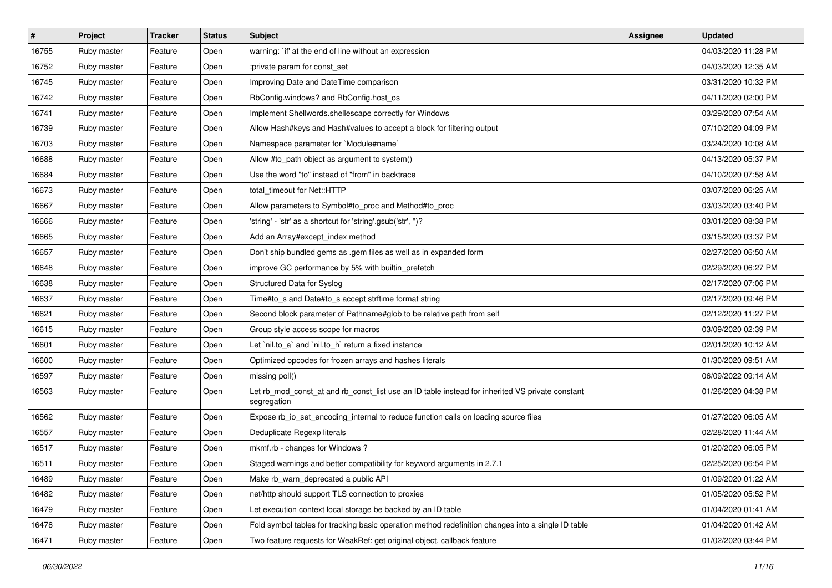| #     | Project     | <b>Tracker</b> | <b>Status</b> | Subject                                                                                                        | <b>Assignee</b> | <b>Updated</b>      |
|-------|-------------|----------------|---------------|----------------------------------------------------------------------------------------------------------------|-----------------|---------------------|
| 16755 | Ruby master | Feature        | Open          | warning: `if' at the end of line without an expression                                                         |                 | 04/03/2020 11:28 PM |
| 16752 | Ruby master | Feature        | Open          | :private param for const set                                                                                   |                 | 04/03/2020 12:35 AM |
| 16745 | Ruby master | Feature        | Open          | Improving Date and DateTime comparison                                                                         |                 | 03/31/2020 10:32 PM |
| 16742 | Ruby master | Feature        | Open          | RbConfig.windows? and RbConfig.host_os                                                                         |                 | 04/11/2020 02:00 PM |
| 16741 | Ruby master | Feature        | Open          | Implement Shellwords.shellescape correctly for Windows                                                         |                 | 03/29/2020 07:54 AM |
| 16739 | Ruby master | Feature        | Open          | Allow Hash#keys and Hash#values to accept a block for filtering output                                         |                 | 07/10/2020 04:09 PM |
| 16703 | Ruby master | Feature        | Open          | Namespace parameter for `Module#name`                                                                          |                 | 03/24/2020 10:08 AM |
| 16688 | Ruby master | Feature        | Open          | Allow #to_path object as argument to system()                                                                  |                 | 04/13/2020 05:37 PM |
| 16684 | Ruby master | Feature        | Open          | Use the word "to" instead of "from" in backtrace                                                               |                 | 04/10/2020 07:58 AM |
| 16673 | Ruby master | Feature        | Open          | total_timeout for Net::HTTP                                                                                    |                 | 03/07/2020 06:25 AM |
| 16667 | Ruby master | Feature        | Open          | Allow parameters to Symbol#to_proc and Method#to_proc                                                          |                 | 03/03/2020 03:40 PM |
| 16666 | Ruby master | Feature        | Open          | 'string' - 'str' as a shortcut for 'string'.gsub('str', ")?                                                    |                 | 03/01/2020 08:38 PM |
| 16665 | Ruby master | Feature        | Open          | Add an Array#except_index method                                                                               |                 | 03/15/2020 03:37 PM |
| 16657 | Ruby master | Feature        | Open          | Don't ship bundled gems as .gem files as well as in expanded form                                              |                 | 02/27/2020 06:50 AM |
| 16648 | Ruby master | Feature        | Open          | improve GC performance by 5% with builtin_prefetch                                                             |                 | 02/29/2020 06:27 PM |
| 16638 | Ruby master | Feature        | Open          | Structured Data for Syslog                                                                                     |                 | 02/17/2020 07:06 PM |
| 16637 | Ruby master | Feature        | Open          | Time#to_s and Date#to_s accept strftime format string                                                          |                 | 02/17/2020 09:46 PM |
| 16621 | Ruby master | Feature        | Open          | Second block parameter of Pathname#glob to be relative path from self                                          |                 | 02/12/2020 11:27 PM |
| 16615 | Ruby master | Feature        | Open          | Group style access scope for macros                                                                            |                 | 03/09/2020 02:39 PM |
| 16601 | Ruby master | Feature        | Open          | Let `nil.to_a` and `nil.to_h` return a fixed instance                                                          |                 | 02/01/2020 10:12 AM |
| 16600 | Ruby master | Feature        | Open          | Optimized opcodes for frozen arrays and hashes literals                                                        |                 | 01/30/2020 09:51 AM |
| 16597 | Ruby master | Feature        | Open          | missing poll()                                                                                                 |                 | 06/09/2022 09:14 AM |
| 16563 | Ruby master | Feature        | Open          | Let rb_mod_const_at and rb_const_list use an ID table instead for inherited VS private constant<br>segregation |                 | 01/26/2020 04:38 PM |
| 16562 | Ruby master | Feature        | Open          | Expose rb_io_set_encoding_internal to reduce function calls on loading source files                            |                 | 01/27/2020 06:05 AM |
| 16557 | Ruby master | Feature        | Open          | Deduplicate Regexp literals                                                                                    |                 | 02/28/2020 11:44 AM |
| 16517 | Ruby master | Feature        | Open          | mkmf.rb - changes for Windows?                                                                                 |                 | 01/20/2020 06:05 PM |
| 16511 | Ruby master | Feature        | Open          | Staged warnings and better compatibility for keyword arguments in 2.7.1                                        |                 | 02/25/2020 06:54 PM |
| 16489 | Ruby master | Feature        | Open          | Make rb warn deprecated a public API                                                                           |                 | 01/09/2020 01:22 AM |
| 16482 | Ruby master | Feature        | Open          | net/http should support TLS connection to proxies                                                              |                 | 01/05/2020 05:52 PM |
| 16479 | Ruby master | Feature        | Open          | Let execution context local storage be backed by an ID table                                                   |                 | 01/04/2020 01:41 AM |
| 16478 | Ruby master | Feature        | Open          | Fold symbol tables for tracking basic operation method redefinition changes into a single ID table             |                 | 01/04/2020 01:42 AM |
| 16471 | Ruby master | Feature        | Open          | Two feature requests for WeakRef: get original object, callback feature                                        |                 | 01/02/2020 03:44 PM |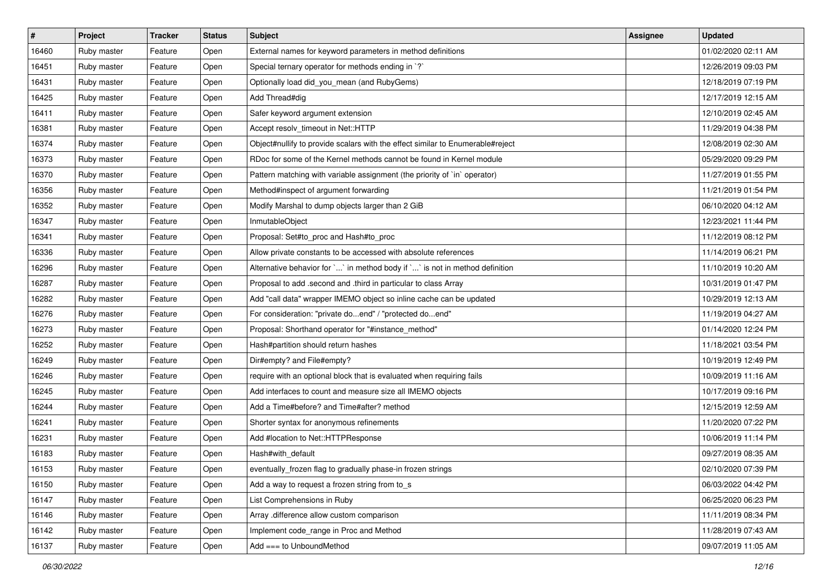| $\vert$ # | Project     | <b>Tracker</b> | <b>Status</b> | <b>Subject</b>                                                                 | Assignee | <b>Updated</b>      |
|-----------|-------------|----------------|---------------|--------------------------------------------------------------------------------|----------|---------------------|
| 16460     | Ruby master | Feature        | Open          | External names for keyword parameters in method definitions                    |          | 01/02/2020 02:11 AM |
| 16451     | Ruby master | Feature        | Open          | Special ternary operator for methods ending in `?`                             |          | 12/26/2019 09:03 PM |
| 16431     | Ruby master | Feature        | Open          | Optionally load did_you_mean (and RubyGems)                                    |          | 12/18/2019 07:19 PM |
| 16425     | Ruby master | Feature        | Open          | Add Thread#dig                                                                 |          | 12/17/2019 12:15 AM |
| 16411     | Ruby master | Feature        | Open          | Safer keyword argument extension                                               |          | 12/10/2019 02:45 AM |
| 16381     | Ruby master | Feature        | Open          | Accept resolv_timeout in Net::HTTP                                             |          | 11/29/2019 04:38 PM |
| 16374     | Ruby master | Feature        | Open          | Object#nullify to provide scalars with the effect similar to Enumerable#reject |          | 12/08/2019 02:30 AM |
| 16373     | Ruby master | Feature        | Open          | RDoc for some of the Kernel methods cannot be found in Kernel module           |          | 05/29/2020 09:29 PM |
| 16370     | Ruby master | Feature        | Open          | Pattern matching with variable assignment (the priority of `in` operator)      |          | 11/27/2019 01:55 PM |
| 16356     | Ruby master | Feature        | Open          | Method#inspect of argument forwarding                                          |          | 11/21/2019 01:54 PM |
| 16352     | Ruby master | Feature        | Open          | Modify Marshal to dump objects larger than 2 GiB                               |          | 06/10/2020 04:12 AM |
| 16347     | Ruby master | Feature        | Open          | InmutableObject                                                                |          | 12/23/2021 11:44 PM |
| 16341     | Ruby master | Feature        | Open          | Proposal: Set#to_proc and Hash#to_proc                                         |          | 11/12/2019 08:12 PM |
| 16336     | Ruby master | Feature        | Open          | Allow private constants to be accessed with absolute references                |          | 11/14/2019 06:21 PM |
| 16296     | Ruby master | Feature        | Open          | Alternative behavior for ` ` in method body if ` ` is not in method definition |          | 11/10/2019 10:20 AM |
| 16287     | Ruby master | Feature        | Open          | Proposal to add .second and .third in particular to class Array                |          | 10/31/2019 01:47 PM |
| 16282     | Ruby master | Feature        | Open          | Add "call data" wrapper IMEMO object so inline cache can be updated            |          | 10/29/2019 12:13 AM |
| 16276     | Ruby master | Feature        | Open          | For consideration: "private doend" / "protected doend"                         |          | 11/19/2019 04:27 AM |
| 16273     | Ruby master | Feature        | Open          | Proposal: Shorthand operator for "#instance_method"                            |          | 01/14/2020 12:24 PM |
| 16252     | Ruby master | Feature        | Open          | Hash#partition should return hashes                                            |          | 11/18/2021 03:54 PM |
| 16249     | Ruby master | Feature        | Open          | Dir#empty? and File#empty?                                                     |          | 10/19/2019 12:49 PM |
| 16246     | Ruby master | Feature        | Open          | require with an optional block that is evaluated when requiring fails          |          | 10/09/2019 11:16 AM |
| 16245     | Ruby master | Feature        | Open          | Add interfaces to count and measure size all IMEMO objects                     |          | 10/17/2019 09:16 PM |
| 16244     | Ruby master | Feature        | Open          | Add a Time#before? and Time#after? method                                      |          | 12/15/2019 12:59 AM |
| 16241     | Ruby master | Feature        | Open          | Shorter syntax for anonymous refinements                                       |          | 11/20/2020 07:22 PM |
| 16231     | Ruby master | Feature        | Open          | Add #location to Net::HTTPResponse                                             |          | 10/06/2019 11:14 PM |
| 16183     | Ruby master | Feature        | Open          | Hash#with_default                                                              |          | 09/27/2019 08:35 AM |
| 16153     | Ruby master | Feature        | Open          | eventually_frozen flag to gradually phase-in frozen strings                    |          | 02/10/2020 07:39 PM |
| 16150     | Ruby master | Feature        | Open          | Add a way to request a frozen string from to s                                 |          | 06/03/2022 04:42 PM |
| 16147     | Ruby master | Feature        | Open          | List Comprehensions in Ruby                                                    |          | 06/25/2020 06:23 PM |
| 16146     | Ruby master | Feature        | Open          | Array .difference allow custom comparison                                      |          | 11/11/2019 08:34 PM |
| 16142     | Ruby master | Feature        | Open          | Implement code_range in Proc and Method                                        |          | 11/28/2019 07:43 AM |
| 16137     | Ruby master | Feature        | Open          | Add === to UnboundMethod                                                       |          | 09/07/2019 11:05 AM |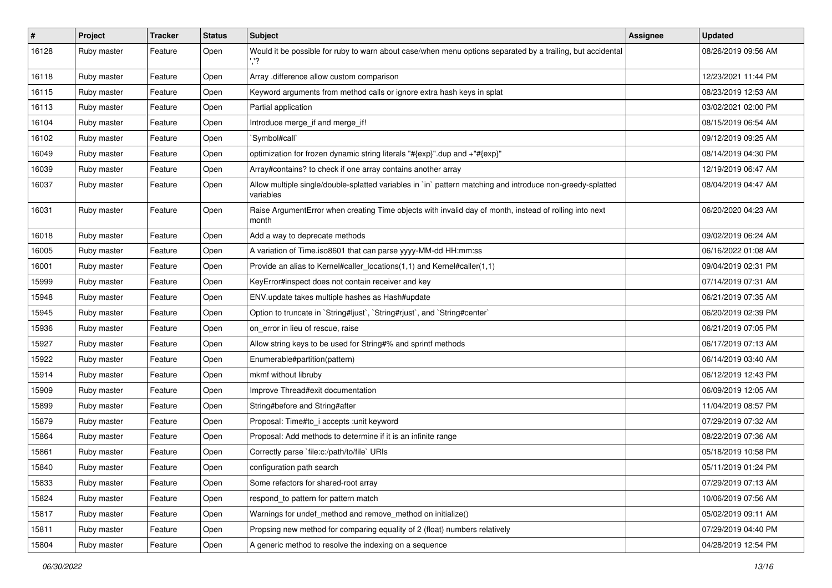| $\vert$ # | Project     | <b>Tracker</b> | <b>Status</b> | <b>Subject</b>                                                                                                          | Assignee | <b>Updated</b>      |
|-----------|-------------|----------------|---------------|-------------------------------------------------------------------------------------------------------------------------|----------|---------------------|
| 16128     | Ruby master | Feature        | Open          | Would it be possible for ruby to warn about case/when menu options separated by a trailing, but accidental              |          | 08/26/2019 09:56 AM |
| 16118     | Ruby master | Feature        | Open          | Array .difference allow custom comparison                                                                               |          | 12/23/2021 11:44 PM |
| 16115     | Ruby master | Feature        | Open          | Keyword arguments from method calls or ignore extra hash keys in splat                                                  |          | 08/23/2019 12:53 AM |
| 16113     | Ruby master | Feature        | Open          | Partial application                                                                                                     |          | 03/02/2021 02:00 PM |
| 16104     | Ruby master | Feature        | Open          | Introduce merge_if and merge_if!                                                                                        |          | 08/15/2019 06:54 AM |
| 16102     | Ruby master | Feature        | Open          | 'Symbol#call'                                                                                                           |          | 09/12/2019 09:25 AM |
| 16049     | Ruby master | Feature        | Open          | optimization for frozen dynamic string literals "#{exp}".dup and +"#{exp}"                                              |          | 08/14/2019 04:30 PM |
| 16039     | Ruby master | Feature        | Open          | Array#contains? to check if one array contains another array                                                            |          | 12/19/2019 06:47 AM |
| 16037     | Ruby master | Feature        | Open          | Allow multiple single/double-splatted variables in `in` pattern matching and introduce non-greedy-splatted<br>variables |          | 08/04/2019 04:47 AM |
| 16031     | Ruby master | Feature        | Open          | Raise ArgumentError when creating Time objects with invalid day of month, instead of rolling into next<br>month         |          | 06/20/2020 04:23 AM |
| 16018     | Ruby master | Feature        | Open          | Add a way to deprecate methods                                                                                          |          | 09/02/2019 06:24 AM |
| 16005     | Ruby master | Feature        | Open          | A variation of Time.iso8601 that can parse yyyy-MM-dd HH:mm:ss                                                          |          | 06/16/2022 01:08 AM |
| 16001     | Ruby master | Feature        | Open          | Provide an alias to Kernel#caller_locations(1,1) and Kernel#caller(1,1)                                                 |          | 09/04/2019 02:31 PM |
| 15999     | Ruby master | Feature        | Open          | KeyError#inspect does not contain receiver and key                                                                      |          | 07/14/2019 07:31 AM |
| 15948     | Ruby master | Feature        | Open          | ENV.update takes multiple hashes as Hash#update                                                                         |          | 06/21/2019 07:35 AM |
| 15945     | Ruby master | Feature        | Open          | Option to truncate in `String#ljust`, `String#rjust`, and `String#center`                                               |          | 06/20/2019 02:39 PM |
| 15936     | Ruby master | Feature        | Open          | on error in lieu of rescue, raise                                                                                       |          | 06/21/2019 07:05 PM |
| 15927     | Ruby master | Feature        | Open          | Allow string keys to be used for String#% and sprintf methods                                                           |          | 06/17/2019 07:13 AM |
| 15922     | Ruby master | Feature        | Open          | Enumerable#partition(pattern)                                                                                           |          | 06/14/2019 03:40 AM |
| 15914     | Ruby master | Feature        | Open          | mkmf without libruby                                                                                                    |          | 06/12/2019 12:43 PM |
| 15909     | Ruby master | Feature        | Open          | Improve Thread#exit documentation                                                                                       |          | 06/09/2019 12:05 AM |
| 15899     | Ruby master | Feature        | Open          | String#before and String#after                                                                                          |          | 11/04/2019 08:57 PM |
| 15879     | Ruby master | Feature        | Open          | Proposal: Time#to_i accepts : unit keyword                                                                              |          | 07/29/2019 07:32 AM |
| 15864     | Ruby master | Feature        | Open          | Proposal: Add methods to determine if it is an infinite range                                                           |          | 08/22/2019 07:36 AM |
| 15861     | Ruby master | Feature        | Open          | Correctly parse `file:c:/path/to/file` URIs                                                                             |          | 05/18/2019 10:58 PM |
| 15840     | Ruby master | Feature        | Open          | configuration path search                                                                                               |          | 05/11/2019 01:24 PM |
| 15833     | Ruby master | Feature        | Open          | Some refactors for shared-root array                                                                                    |          | 07/29/2019 07:13 AM |
| 15824     | Ruby master | Feature        | Open          | respond_to pattern for pattern match                                                                                    |          | 10/06/2019 07:56 AM |
| 15817     | Ruby master | Feature        | Open          | Warnings for undef_method and remove_method on initialize()                                                             |          | 05/02/2019 09:11 AM |
| 15811     | Ruby master | Feature        | Open          | Propsing new method for comparing equality of 2 (float) numbers relatively                                              |          | 07/29/2019 04:40 PM |
| 15804     | Ruby master | Feature        | Open          | A generic method to resolve the indexing on a sequence                                                                  |          | 04/28/2019 12:54 PM |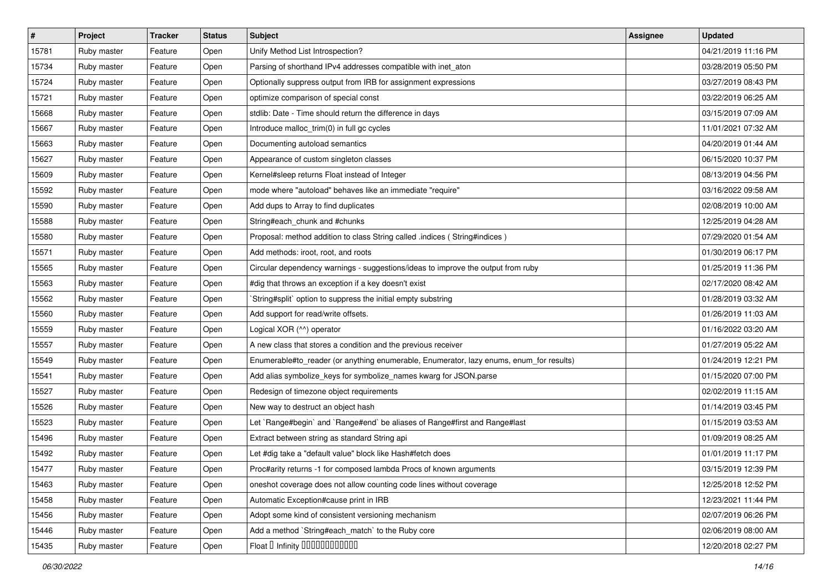| #     | Project     | <b>Tracker</b> | <b>Status</b> | <b>Subject</b>                                                                          | <b>Assignee</b> | <b>Updated</b>      |
|-------|-------------|----------------|---------------|-----------------------------------------------------------------------------------------|-----------------|---------------------|
| 15781 | Ruby master | Feature        | Open          | Unify Method List Introspection?                                                        |                 | 04/21/2019 11:16 PM |
| 15734 | Ruby master | Feature        | Open          | Parsing of shorthand IPv4 addresses compatible with inet_aton                           |                 | 03/28/2019 05:50 PM |
| 15724 | Ruby master | Feature        | Open          | Optionally suppress output from IRB for assignment expressions                          |                 | 03/27/2019 08:43 PM |
| 15721 | Ruby master | Feature        | Open          | optimize comparison of special const                                                    |                 | 03/22/2019 06:25 AM |
| 15668 | Ruby master | Feature        | Open          | stdlib: Date - Time should return the difference in days                                |                 | 03/15/2019 07:09 AM |
| 15667 | Ruby master | Feature        | Open          | Introduce malloc_trim(0) in full gc cycles                                              |                 | 11/01/2021 07:32 AM |
| 15663 | Ruby master | Feature        | Open          | Documenting autoload semantics                                                          |                 | 04/20/2019 01:44 AM |
| 15627 | Ruby master | Feature        | Open          | Appearance of custom singleton classes                                                  |                 | 06/15/2020 10:37 PM |
| 15609 | Ruby master | Feature        | Open          | Kernel#sleep returns Float instead of Integer                                           |                 | 08/13/2019 04:56 PM |
| 15592 | Ruby master | Feature        | Open          | mode where "autoload" behaves like an immediate "require"                               |                 | 03/16/2022 09:58 AM |
| 15590 | Ruby master | Feature        | Open          | Add dups to Array to find duplicates                                                    |                 | 02/08/2019 10:00 AM |
| 15588 | Ruby master | Feature        | Open          | String#each_chunk and #chunks                                                           |                 | 12/25/2019 04:28 AM |
| 15580 | Ruby master | Feature        | Open          | Proposal: method addition to class String called .indices ( String#indices )            |                 | 07/29/2020 01:54 AM |
| 15571 | Ruby master | Feature        | Open          | Add methods: iroot, root, and roots                                                     |                 | 01/30/2019 06:17 PM |
| 15565 | Ruby master | Feature        | Open          | Circular dependency warnings - suggestions/ideas to improve the output from ruby        |                 | 01/25/2019 11:36 PM |
| 15563 | Ruby master | Feature        | Open          | #dig that throws an exception if a key doesn't exist                                    |                 | 02/17/2020 08:42 AM |
| 15562 | Ruby master | Feature        | Open          | String#split` option to suppress the initial empty substring                            |                 | 01/28/2019 03:32 AM |
| 15560 | Ruby master | Feature        | Open          | Add support for read/write offsets.                                                     |                 | 01/26/2019 11:03 AM |
| 15559 | Ruby master | Feature        | Open          | Logical XOR (^^) operator                                                               |                 | 01/16/2022 03:20 AM |
| 15557 | Ruby master | Feature        | Open          | A new class that stores a condition and the previous receiver                           |                 | 01/27/2019 05:22 AM |
| 15549 | Ruby master | Feature        | Open          | Enumerable#to_reader (or anything enumerable, Enumerator, lazy enums, enum_for results) |                 | 01/24/2019 12:21 PM |
| 15541 | Ruby master | Feature        | Open          | Add alias symbolize_keys for symbolize_names kwarg for JSON.parse                       |                 | 01/15/2020 07:00 PM |
| 15527 | Ruby master | Feature        | Open          | Redesign of timezone object requirements                                                |                 | 02/02/2019 11:15 AM |
| 15526 | Ruby master | Feature        | Open          | New way to destruct an object hash                                                      |                 | 01/14/2019 03:45 PM |
| 15523 | Ruby master | Feature        | Open          | Let `Range#begin` and `Range#end` be aliases of Range#first and Range#last              |                 | 01/15/2019 03:53 AM |
| 15496 | Ruby master | Feature        | Open          | Extract between string as standard String api                                           |                 | 01/09/2019 08:25 AM |
| 15492 | Ruby master | Feature        | Open          | Let #dig take a "default value" block like Hash#fetch does                              |                 | 01/01/2019 11:17 PM |
| 15477 | Ruby master | Feature        | Open          | Proc#arity returns -1 for composed lambda Procs of known arguments                      |                 | 03/15/2019 12:39 PM |
| 15463 | Ruby master | Feature        | Open          | oneshot coverage does not allow counting code lines without coverage                    |                 | 12/25/2018 12:52 PM |
| 15458 | Ruby master | Feature        | Open          | Automatic Exception#cause print in IRB                                                  |                 | 12/23/2021 11:44 PM |
| 15456 | Ruby master | Feature        | Open          | Adopt some kind of consistent versioning mechanism                                      |                 | 02/07/2019 06:26 PM |
| 15446 | Ruby master | Feature        | Open          | Add a method `String#each_match` to the Ruby core                                       |                 | 02/06/2019 08:00 AM |
| 15435 | Ruby master | Feature        | Open          | Float D Infinity 000000000000                                                           |                 | 12/20/2018 02:27 PM |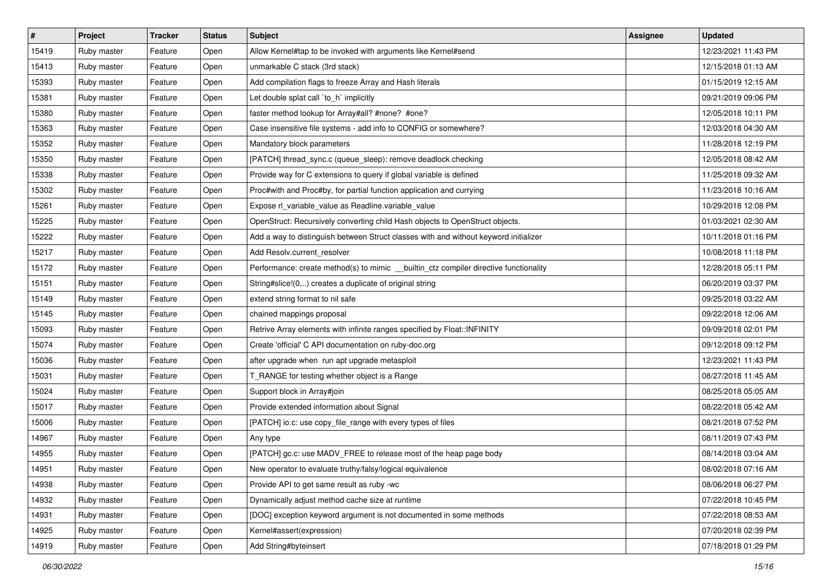| $\sharp$ | Project     | <b>Tracker</b> | <b>Status</b> | <b>Subject</b>                                                                         | <b>Assignee</b> | <b>Updated</b>      |
|----------|-------------|----------------|---------------|----------------------------------------------------------------------------------------|-----------------|---------------------|
| 15419    | Ruby master | Feature        | Open          | Allow Kernel#tap to be invoked with arguments like Kernel#send                         |                 | 12/23/2021 11:43 PM |
| 15413    | Ruby master | Feature        | Open          | unmarkable C stack (3rd stack)                                                         |                 | 12/15/2018 01:13 AM |
| 15393    | Ruby master | Feature        | Open          | Add compilation flags to freeze Array and Hash literals                                |                 | 01/15/2019 12:15 AM |
| 15381    | Ruby master | Feature        | Open          | Let double splat call 'to_h' implicitly                                                |                 | 09/21/2019 09:06 PM |
| 15380    | Ruby master | Feature        | Open          | faster method lookup for Array#all? #none? #one?                                       |                 | 12/05/2018 10:11 PM |
| 15363    | Ruby master | Feature        | Open          | Case insensitive file systems - add info to CONFIG or somewhere?                       |                 | 12/03/2018 04:30 AM |
| 15352    | Ruby master | Feature        | Open          | Mandatory block parameters                                                             |                 | 11/28/2018 12:19 PM |
| 15350    | Ruby master | Feature        | Open          | [PATCH] thread_sync.c (queue_sleep): remove deadlock checking                          |                 | 12/05/2018 08:42 AM |
| 15338    | Ruby master | Feature        | Open          | Provide way for C extensions to query if global variable is defined                    |                 | 11/25/2018 09:32 AM |
| 15302    | Ruby master | Feature        | Open          | Proc#with and Proc#by, for partial function application and currying                   |                 | 11/23/2018 10:16 AM |
| 15261    | Ruby master | Feature        | Open          | Expose rl_variable_value as Readline.variable_value                                    |                 | 10/29/2018 12:08 PM |
| 15225    | Ruby master | Feature        | Open          | OpenStruct: Recursively converting child Hash objects to OpenStruct objects.           |                 | 01/03/2021 02:30 AM |
| 15222    | Ruby master | Feature        | Open          | Add a way to distinguish between Struct classes with and without keyword initializer   |                 | 10/11/2018 01:16 PM |
| 15217    | Ruby master | Feature        | Open          | Add Resolv.current resolver                                                            |                 | 10/08/2018 11:18 PM |
| 15172    | Ruby master | Feature        | Open          | Performance: create method(s) to mimic __ builtin_ctz compiler directive functionality |                 | 12/28/2018 05:11 PM |
| 15151    | Ruby master | Feature        | Open          | String#slice!(0,) creates a duplicate of original string                               |                 | 06/20/2019 03:37 PM |
| 15149    | Ruby master | Feature        | Open          | extend string format to nil safe                                                       |                 | 09/25/2018 03:22 AM |
| 15145    | Ruby master | Feature        | Open          | chained mappings proposal                                                              |                 | 09/22/2018 12:06 AM |
| 15093    | Ruby master | Feature        | Open          | Retrive Array elements with infinite ranges specified by Float::INFINITY               |                 | 09/09/2018 02:01 PM |
| 15074    | Ruby master | Feature        | Open          | Create 'official' C API documentation on ruby-doc.org                                  |                 | 09/12/2018 09:12 PM |
| 15036    | Ruby master | Feature        | Open          | after upgrade when run apt upgrade metasploit                                          |                 | 12/23/2021 11:43 PM |
| 15031    | Ruby master | Feature        | Open          | T_RANGE for testing whether object is a Range                                          |                 | 08/27/2018 11:45 AM |
| 15024    | Ruby master | Feature        | Open          | Support block in Array#join                                                            |                 | 08/25/2018 05:05 AM |
| 15017    | Ruby master | Feature        | Open          | Provide extended information about Signal                                              |                 | 08/22/2018 05:42 AM |
| 15006    | Ruby master | Feature        | Open          | [PATCH] io.c: use copy_file_range with every types of files                            |                 | 08/21/2018 07:52 PM |
| 14967    | Ruby master | Feature        | Open          | Any type                                                                               |                 | 08/11/2019 07:43 PM |
| 14955    | Ruby master | Feature        | Open          | [PATCH] gc.c: use MADV_FREE to release most of the heap page body                      |                 | 08/14/2018 03:04 AM |
| 14951    | Ruby master | Feature        | Open          | New operator to evaluate truthy/falsy/logical equivalence                              |                 | 08/02/2018 07:16 AM |
| 14938    | Ruby master | Feature        | Open          | Provide API to get same result as ruby -wc                                             |                 | 08/06/2018 06:27 PM |
| 14932    | Ruby master | Feature        | Open          | Dynamically adjust method cache size at runtime                                        |                 | 07/22/2018 10:45 PM |
| 14931    | Ruby master | Feature        | Open          | [DOC] exception keyword argument is not documented in some methods                     |                 | 07/22/2018 08:53 AM |
| 14925    | Ruby master | Feature        | Open          | Kernel#assert(expression)                                                              |                 | 07/20/2018 02:39 PM |
| 14919    | Ruby master | Feature        | Open          | Add String#byteinsert                                                                  |                 | 07/18/2018 01:29 PM |